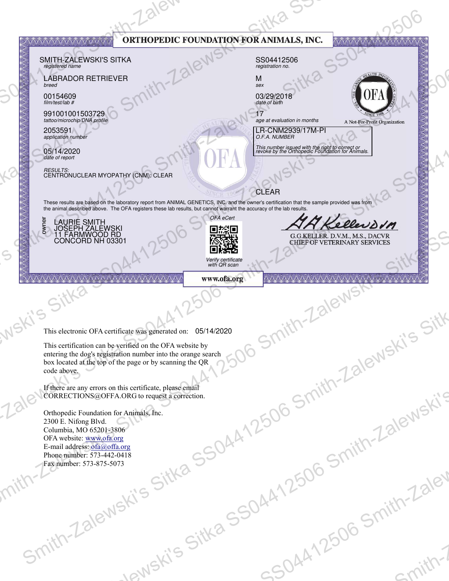| AVAVAVAVAVAVAV V V V VAVAV<br>registered name<br><b>LABRADOR RETRIEVER</b><br>breed<br>00154609<br>film/test/lab #<br>991001001503729<br>tattoo/microchip/DNA profile<br>2053591<br>application number<br>05/14/2020<br>date of report |                                                                       | ORTHOPEDIC FOUNDATION FOR ANIMALS, INC.<br>M<br>sex<br>date of birth<br>17<br><b>CLEAR</b><br>OFA eCert                                                                                                                                                                     | AA Kellevorn                                                                                                                                                                                                                                                                                                                                                                                                    | AV VAVAVAVAVAVAVAVAVAVA<br>A Not-For-Profit Organization                                                                                                                                                                                                                                                                                                                                                                                                                                                                                                                                                                                            |
|----------------------------------------------------------------------------------------------------------------------------------------------------------------------------------------------------------------------------------------|-----------------------------------------------------------------------|-----------------------------------------------------------------------------------------------------------------------------------------------------------------------------------------------------------------------------------------------------------------------------|-----------------------------------------------------------------------------------------------------------------------------------------------------------------------------------------------------------------------------------------------------------------------------------------------------------------------------------------------------------------------------------------------------------------|-----------------------------------------------------------------------------------------------------------------------------------------------------------------------------------------------------------------------------------------------------------------------------------------------------------------------------------------------------------------------------------------------------------------------------------------------------------------------------------------------------------------------------------------------------------------------------------------------------------------------------------------------------|
| <b>AAAAAAAAAA</b>                                                                                                                                                                                                                      |                                                                       |                                                                                                                                                                                                                                                                             |                                                                                                                                                                                                                                                                                                                                                                                                                 |                                                                                                                                                                                                                                                                                                                                                                                                                                                                                                                                                                                                                                                     |
| $C$ i"<br>vis.<br>code above.                                                                                                                                                                                                          |                                                                       |                                                                                                                                                                                                                                                                             |                                                                                                                                                                                                                                                                                                                                                                                                                 |                                                                                                                                                                                                                                                                                                                                                                                                                                                                                                                                                                                                                                                     |
| 2300 E. Nifong Blvd.<br>Columbia, MO 65201-3806<br>OFA website: www.ofa.org<br>Fax number: 573-875-5073                                                                                                                                |                                                                       |                                                                                                                                                                                                                                                                             |                                                                                                                                                                                                                                                                                                                                                                                                                 |                                                                                                                                                                                                                                                                                                                                                                                                                                                                                                                                                                                                                                                     |
| $S_{U}$                                                                                                                                                                                                                                | Jewski's                                                              |                                                                                                                                                                                                                                                                             |                                                                                                                                                                                                                                                                                                                                                                                                                 | <b>13lev</b><br>- Smith-'<br>spitt?                                                                                                                                                                                                                                                                                                                                                                                                                                                                                                                                                                                                                 |
|                                                                                                                                                                                                                                        | LAURIE SMITH<br>JOSEPH ZALEWSKI<br>11 FARMWOOD RD<br>CONCORD NH 03301 | SMITH-ZALEWSKI'S SITKA<br>RESULTS:<br>CENTRONUCLEAR MYOPATHY (CNM): CLEAR<br>AA A A A A A A A A A A A<br>If there are any errors on this certificate, please email<br>Orthopedic Foundation for Animals, Inc.<br>E-mail address: ofa@offa.org<br>Phone number: 573-442-0418 | D談画<br>磁磁<br>Verify certificate<br>with QR scan<br>www.ofa.org<br>This electronic OFA certificate was generated on: 05/14/2020<br>This certification can be verified on the OFA website by<br>entering the dog's registration number into the orange search<br>box located at the top of the page or by scanning the QR<br>CORRECTIONS@OFFA.ORG to request a correction.<br>- alewski's Sitka SSOAn<br>Wa SSO4- | SS04412506<br>registration no.<br>03/29/2018<br>age at evaluation in months<br>LR-CNM2939/17M-PI<br>O.F.A. NUMBER<br>This number issued with the right to correct or<br>revoke by the Orthopedic Foundation for Animals.<br>These results are based on the laboratory report from ANIMAL GENETICS, INC. and the owner's certification that the sample provided was from<br>the animal described above. The OFA registers these lab results, but cannot warrant the accuracy of the lab results.<br>G.G.KELLER. D.V.M., M.S., DACVR<br>CHIEF OF VETERINARY SERVICES<br>VAAAAAA<br>Smith-Zalewski's Sitk<br>< 06 Smith-Zalewski's<br>.7506:<br>SOAATL |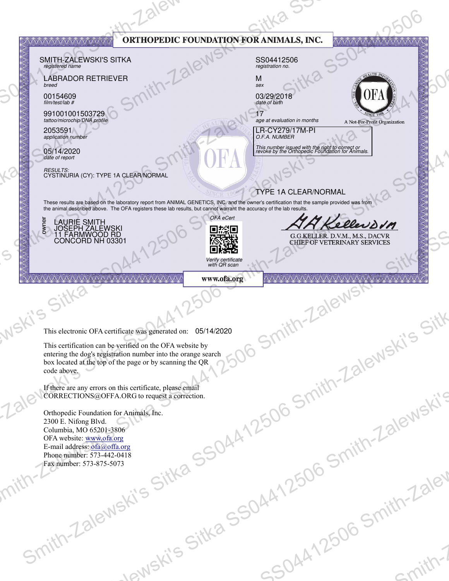|                                                             | AVAVAVAVAVAVAV V V V VAVAV<br>SMITH-ZALEWSKI'S SITKA<br>registered name<br><b>LABRADOR RETRIEVER</b><br>breed<br>00154609<br>film/test/lab #<br>991001001503729<br>tattoo/microchip/DNA profile<br>2053591<br>application number<br>05/14/2020<br>date of report<br>RESULTS:<br>CYSTINURIA (CY): TYPE 1A CLEAR/NORMAL<br>These results are based on the laboratory report from ANIMAL GENETICS, INC. and the owner's certification that the sample provided was from<br>the animal described above. The OFA registers these lab results, but cannot warrant the accuracy of the lab results. |                          |                                                                             | ORTHOPEDIC FOUNDATION FOR ANIMALS, INC.<br>SS04412506<br>registration no.<br>M<br>sex<br>03/29/2018<br>date of birth<br>age at evaluation in months<br>LR-CY279/17M-PI<br>O.F.A. NUMBER<br>This number issued with the right to correct or<br>revoke by the Orthopedic Foundation for Animals.<br><b>TYPE 1A CLEAR/NORMAL</b> | <b>ATA ATA ATA ATA ATA</b><br>A Not-For-Profit Organization                     |                        |
|-------------------------------------------------------------|----------------------------------------------------------------------------------------------------------------------------------------------------------------------------------------------------------------------------------------------------------------------------------------------------------------------------------------------------------------------------------------------------------------------------------------------------------------------------------------------------------------------------------------------------------------------------------------------|--------------------------|-----------------------------------------------------------------------------|-------------------------------------------------------------------------------------------------------------------------------------------------------------------------------------------------------------------------------------------------------------------------------------------------------------------------------|---------------------------------------------------------------------------------|------------------------|
| $\mathsf{S}% _{M_{1},M_{2}}^{\alpha,\beta}(\mathbb{R}^{N})$ | LAURIE SMITH<br>JOSEPH ZALEWSKI<br>11 FARMWOOD RD<br>CONCORD NH 03301<br>š<br><b>AAAAAAAAA</b>                                                                                                                                                                                                                                                                                                                                                                                                                                                                                               | AA A A A A A A A A A A A | OFA eCert<br>D総局<br>磁磁<br>Verify certificate<br>with QR scan<br>www.ofa.org | VAAAAAA                                                                                                                                                                                                                                                                                                                       | AA Kellevorn<br>G.G.KELLER. D.V.M., M.S., DACVR<br>CHIEF OF VETERINARY SERVICES |                        |
| vi'S                                                        | C<br>This electronic OFA certificate was generated on: 05/14/2020<br>This certification can be verified on the OFA website by<br>entering the dog's registration number into the orange search<br>box located at the top of the page or by scanning the QR<br>code above.                                                                                                                                                                                                                                                                                                                    |                          |                                                                             |                                                                                                                                                                                                                                                                                                                               | Smith-Zalewski's Sitk                                                           |                        |
|                                                             | If there are any errors on this certificate, please email<br>CORRECTIONS@OFFA.ORG to request a correction.<br>Orthopedic Foundation for Animals, Inc.<br>2300 E. Nifong Blvd.<br>Columbia, MO 65201-3806<br>OFA website: www.ofa.org<br>E-mail address: ofa@offa.org<br>Phone number: 573-442-0418<br>Fax number: 573-875-5073                                                                                                                                                                                                                                                               |                          |                                                                             | .7506:                                                                                                                                                                                                                                                                                                                        | < 06 Smith-Zalewski's                                                           |                        |
|                                                             | $S_{U}$                                                                                                                                                                                                                                                                                                                                                                                                                                                                                                                                                                                      | Jewski's                 | - alewski's Sitka SSOAn<br>Wa SSO4-                                         | SOAATL                                                                                                                                                                                                                                                                                                                        | - Smith-'                                                                       | <b>13lev</b><br>spitt? |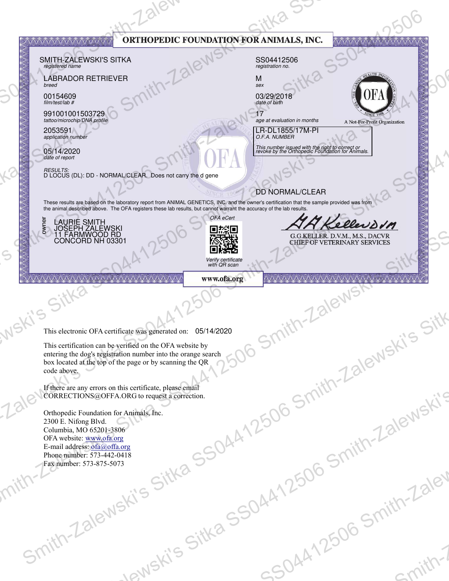|                                                                     | AVAVAVAVAVAVAV V V V VAVAV<br>SMITH-ZALEWSKI'S SITKA<br>registered name<br><b>LABRADOR RETRIEVER</b><br>breed<br>00154609<br>film/test/lab #<br>991001001503729<br>tattoo/microchip/DNA profile<br>2053591<br>application number<br>05/14/2020<br>date of report<br>RESULTS:<br>D LOCUS (DL): DD - NORMAL/CLEAR. Does not carry the d gene<br>These results are based on the laboratory report from ANIMAL GENETICS, INC. and the owner's certification that the sample provided was from<br>the animal described above. The OFA registers these lab results, but cannot warrant the accuracy of the lab results.<br>LAURIE SMITH<br>JOSEPH ZALEWSKI<br>11 FARMWOOD RD<br>CONCORD NH 03301<br>š |                          | OFA eCert<br>D総局<br>磁磁                            | ORTHOPEDIC FOUNDATION FOR ANIMALS, INC.<br>SS04412506<br>registration no.<br>M<br>sex<br>03/29/2018<br>date of birth<br>age at evaluation in months<br>LR-DL1855/17M-PI<br>O.F.A. NUMBER<br>This number issued with the right to correct or<br>revoke by the Orthopedic Foundation for Animals.<br><b>DD NORMAL/CLEAR</b> | <b>ATA ATA ATA ATA ATA</b><br>A Not-For-Profit Organization<br>AA Kellenson<br>G.G.KELLER. D.V.M., M.S., DACVR<br>CHIEF OF VETERINARY SERVICES |                        |
|---------------------------------------------------------------------|-------------------------------------------------------------------------------------------------------------------------------------------------------------------------------------------------------------------------------------------------------------------------------------------------------------------------------------------------------------------------------------------------------------------------------------------------------------------------------------------------------------------------------------------------------------------------------------------------------------------------------------------------------------------------------------------------|--------------------------|---------------------------------------------------|---------------------------------------------------------------------------------------------------------------------------------------------------------------------------------------------------------------------------------------------------------------------------------------------------------------------------|------------------------------------------------------------------------------------------------------------------------------------------------|------------------------|
| $\mathsf{S}% _{M_{1},M_{2}}^{\alpha,\beta}(\mathbb{R}^{N})$<br>vi'S | <b>AAAAAAAAA</b><br>C<br>This electronic OFA certificate was generated on: 05/14/2020<br>This certification can be verified on the OFA website by<br>entering the dog's registration number into the orange search<br>box located at the top of the page or by scanning the QR<br>code above.                                                                                                                                                                                                                                                                                                                                                                                                   | AA A A A A A A A A A A A | Verify certificate<br>with QR scan<br>www.ofa.org | VAAAAAA                                                                                                                                                                                                                                                                                                                   | Smith-Zalewski's Sitk                                                                                                                          |                        |
|                                                                     | If there are any errors on this certificate, please email<br>CORRECTIONS@OFFA.ORG to request a correction.<br>Orthopedic Foundation for Animals, Inc.<br>2300 E. Nifong Blvd.<br>Columbia, MO 65201-3806<br>OFA website: www.ofa.org<br>E-mail address: ofa@offa.org<br>Phone number: 573-442-0418<br>Fax number: 573-875-5073                                                                                                                                                                                                                                                                                                                                                                  |                          |                                                   | .7506:                                                                                                                                                                                                                                                                                                                    | < 06 Smith-Zalewski's                                                                                                                          |                        |
|                                                                     | $S_{U}$                                                                                                                                                                                                                                                                                                                                                                                                                                                                                                                                                                                                                                                                                         | Jewski's                 | - alewski's Sitka SSOAn<br>Wa SSO4.               | SOAATL                                                                                                                                                                                                                                                                                                                    | - Smith-'                                                                                                                                      | <b>13lev</b><br>Spith- |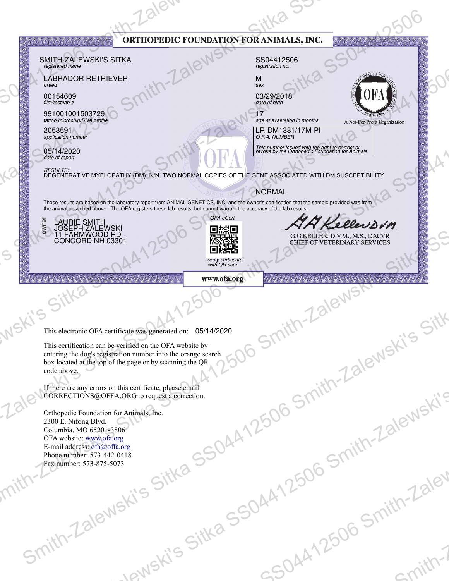|                                                             | AVAVAVAVAVAVAV V V V VAVAV                                                                                                                                                                                                                                          |                          | ORTHOPEDIC FOUNDATION FOR ANIMALS, INC. |                                                                                                                      | AV VAVAVAVAVAVAVAVAVAVA                                                         |              |
|-------------------------------------------------------------|---------------------------------------------------------------------------------------------------------------------------------------------------------------------------------------------------------------------------------------------------------------------|--------------------------|-----------------------------------------|----------------------------------------------------------------------------------------------------------------------|---------------------------------------------------------------------------------|--------------|
|                                                             | SMITH-ZALEWSKI'S SITKA<br>registered name<br><b>LABRADOR RETRIEVER</b>                                                                                                                                                                                              |                          |                                         | SS04412506<br>registration no.<br>M                                                                                  |                                                                                 |              |
|                                                             | breed<br>00154609<br>film/test/lab#                                                                                                                                                                                                                                 |                          |                                         | sex<br>03/29/2018<br>date of birth                                                                                   |                                                                                 |              |
|                                                             | 991001001503729<br>tattoo/microchip/DNA profile<br>2053591                                                                                                                                                                                                          |                          |                                         | age at evaluation in months<br>LR-DM1381/17M-PI                                                                      | A Not-For-Profit Organization                                                   |              |
|                                                             | application number<br>05/14/2020<br>date of report                                                                                                                                                                                                                  |                          |                                         | O.F.A. NUMBER<br>This number issued with the right to correct or<br>revoke by the Orthopedic Foundation for Animals. |                                                                                 |              |
|                                                             | RESULTS:<br>DEGENERATIVE MYELOPATHY (DM): N/N, TWO NORMAL COPIES OF THE GENE ASSOCIATED WITH DM SUSCEPTIBILITY                                                                                                                                                      |                          |                                         |                                                                                                                      |                                                                                 |              |
|                                                             | These results are based on the laboratory report from ANIMAL GENETICS, INC. and the owner's certification that the sample provided was from<br>the animal described above. The OFA registers these lab results, but cannot warrant the accuracy of the lab results. |                          |                                         | NORMAL                                                                                                               |                                                                                 |              |
|                                                             | LAURIE SMITH<br>JOSEPH ZALEWSKI<br>11 FARMWOOD RD<br>CONCORD NH 03301<br>š                                                                                                                                                                                          |                          | OFA eCert<br>D総局<br>磁磁                  |                                                                                                                      | AA Kellenson<br>G.G.KELLER. D.V.M., M.S., DACVR<br>CHIEF OF VETERINARY SERVICES |              |
| $\mathsf{S}% _{M_{1},M_{2}}^{\alpha,\beta}(\mathbb{R}^{N})$ |                                                                                                                                                                                                                                                                     |                          | Verify certificate<br>with QR scan      |                                                                                                                      |                                                                                 |              |
|                                                             | <b>AAAAAAAAA</b>                                                                                                                                                                                                                                                    | AA A A A A A A A A A A A | www.ofa.org                             | VAAAAAA                                                                                                              |                                                                                 |              |
| ws                                                          | C                                                                                                                                                                                                                                                                   |                          |                                         |                                                                                                                      |                                                                                 |              |
|                                                             | This electronic OFA certificate was generated on: 05/14/2020<br>This certification can be verified on the OFA website by                                                                                                                                            |                          |                                         |                                                                                                                      |                                                                                 |              |
|                                                             | entering the dog's registration number into the orange search<br>box located at the top of the page or by scanning the QR<br>code above.                                                                                                                            |                          |                                         |                                                                                                                      |                                                                                 |              |
|                                                             | If there are any errors on this certificate, please email<br>CORRECTIONS@OFFA.ORG to request a correction.                                                                                                                                                          |                          |                                         |                                                                                                                      | Smith-Zalewski's Sitk                                                           |              |
|                                                             | Orthopedic Foundation for Animals, Inc.<br>2300 E. Nifong Blvd.                                                                                                                                                                                                     |                          |                                         | .7506:                                                                                                               |                                                                                 |              |
|                                                             | Columbia, MO 65201-3806<br>OFA website: www.ofa.org<br>E-mail address: ofa@offa.org                                                                                                                                                                                 |                          |                                         |                                                                                                                      |                                                                                 |              |
|                                                             | Phone number: 573-442-0418<br>Fax number: 573-875-5073                                                                                                                                                                                                              |                          |                                         |                                                                                                                      | < 06 Smith-Zalewski's                                                           |              |
|                                                             |                                                                                                                                                                                                                                                                     |                          | - alewski's Sitka SSOAn                 |                                                                                                                      |                                                                                 | <b>13lev</b> |
|                                                             |                                                                                                                                                                                                                                                                     |                          | Wa SSOA.                                |                                                                                                                      | - Smith-'                                                                       |              |
| $S_{U}$                                                     |                                                                                                                                                                                                                                                                     |                          |                                         |                                                                                                                      |                                                                                 |              |
|                                                             |                                                                                                                                                                                                                                                                     | Jewski's                 |                                         | SOAATL                                                                                                               |                                                                                 | spitt?       |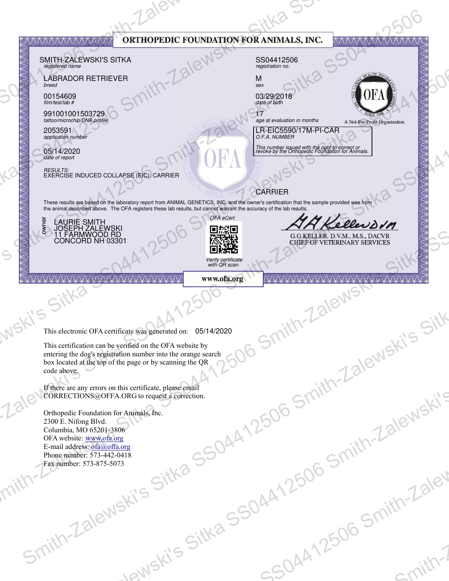|                                                             | AVAVAVAVAVAVAV V V V VAVAV<br>SMITH-ZALEWSKI'S SITKA<br>registered name<br><b>LABRADOR RETRIEVER</b><br>breed<br>00154609<br>film/test/lab #<br>991001001503729<br>tattoo/microchip/DNA profile<br>2053591<br>application number<br>05/14/2020<br>date of report<br>RESULTS:<br>EXERCISE INDUCED COLLAPSE (EIC): CARRIER                                               |                                     |                                                                             | ORTHOPEDIC FOUNDATION FOR ANIMALS, INC.<br>SS04412506<br>registration no.<br>M<br>sex<br>03/29/2018<br>date of birth<br>17<br>age at evaluation in months<br>LR-EIC5590/17M-PI-CAR<br>O.F.A. NUMBER<br>This number issued with the right to correct or<br>revoke by the Orthopedic Foundation for Animals.<br><b>CARRIER</b> | <b>ATA ATA ATA ATA ATA</b><br>A Not-For-Profit Organization                     |                        |
|-------------------------------------------------------------|------------------------------------------------------------------------------------------------------------------------------------------------------------------------------------------------------------------------------------------------------------------------------------------------------------------------------------------------------------------------|-------------------------------------|-----------------------------------------------------------------------------|------------------------------------------------------------------------------------------------------------------------------------------------------------------------------------------------------------------------------------------------------------------------------------------------------------------------------|---------------------------------------------------------------------------------|------------------------|
| $\mathsf{S}% _{M_{1},M_{2}}^{\alpha,\beta}(\mathbb{R}^{N})$ | These results are based on the laboratory report from ANIMAL GENETICS, INC. and the owner's certification that the sample provided was from<br>the animal described above. The OFA registers these lab results, but cannot warrant the accuracy of the lab results.<br>LAURIE SMITH<br>JOSEPH ZALEWSKI<br>11 FARMWOOD RD<br>CONCORD NH 03301<br>š<br><b>AAAAAAAAAA</b> | AA A A A A A A A A A A A            | OFA eCert<br>D談画<br>磁磁<br>Verify certificate<br>with QR scan<br>www.ofa.org | VAAAAAA                                                                                                                                                                                                                                                                                                                      | AA Kellevorn<br>G.G.KELLER. D.V.M., M.S., DACVR<br>CHIEF OF VETERINARY SERVICES |                        |
| vi'S                                                        | $C$ i"<br>This electronic OFA certificate was generated on: 05/14/2020<br>This certification can be verified on the OFA website by<br>entering the dog's registration number into the orange search<br>box located at the top of the page or by scanning the QR<br>code above.                                                                                         |                                     |                                                                             |                                                                                                                                                                                                                                                                                                                              | Smith-Zalewski's Sitk                                                           |                        |
|                                                             | If there are any errors on this certificate, please email<br>CORRECTIONS@OFFA.ORG to request a correction.<br>Orthopedic Foundation for Animals, Inc.<br>2300 E. Nifong Blvd.<br>Columbia, MO 65201-3806<br>OFA website: www.ofa.org<br>E-mail address: ofa@offa.org<br>Phone number: 573-442-0418<br>Fax number: 573-875-5073                                         |                                     |                                                                             | .7506:                                                                                                                                                                                                                                                                                                                       | < 06 Smith-Zalewski's                                                           |                        |
| $S_{U}$                                                     |                                                                                                                                                                                                                                                                                                                                                                        | - alewski's Sitka SSOAn<br>Jewski's | Wa SSO4-                                                                    | SOAATL                                                                                                                                                                                                                                                                                                                       | - Smith-'                                                                       | <b>13lev</b><br>spitt? |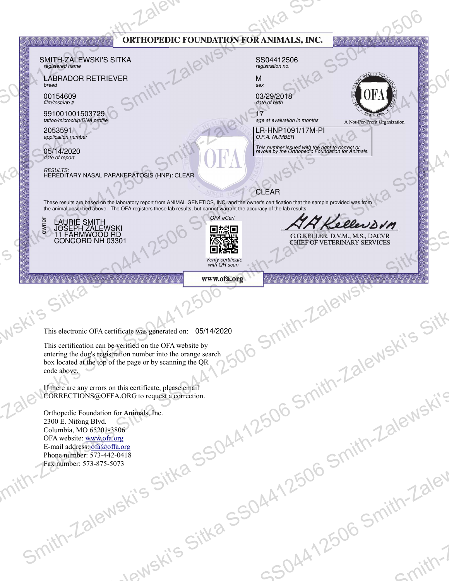| $\mathsf{S}% _{M_{1},M_{2}}^{\alpha,\beta}(\mathbb{R}^{N})$ | AVAVAVAVAVAVAV V V V VAVAV<br>SMITH-ZALEWSKI'S SITKA<br>registered name<br><b>LABRADOR RETRIEVER</b><br>breed<br>00154609<br>film/test/lab #<br>991001001503729<br>tattoo/microchip/DNA profile<br>2053591<br>application number<br>05/14/2020<br>date of report<br><i>RESULTS:</i><br>HEREDITARY NASAL PARAKERATOSIS (HNP): CLEAR<br>These results are based on the laboratory report from ANIMAL GENETICS, INC. and the owner's certification that the sample provided was from<br>the animal described above. The OFA registers these lab results, but cannot warrant the accuracy of the lab results.<br>LAURIE SMITH<br>JOSEPH ZALEWSKI<br>11 FARMWOOD RD<br>CONCORD NH 03301<br>š |                          | ORTHOPEDIC FOUNDATION FOR ANIMALS, INC.<br>OFA eCert<br>D談画<br>磁磁<br>Verify certificate<br>with QR scan | SS04412506<br>registration no.<br>M<br>sex<br>03/29/2018<br>date of birth<br>17<br>age at evaluation in months<br>LR-HNP1091/17M-PI<br>O.F.A. NUMBER<br>This number issued with the right to correct or<br>revoke by the Orthopedic Foundation for Animals.<br><b>CLEAR</b> | AV VAVAVAVAVAVAVAVAVAVA<br>A Not-For-Profit Organization<br>AA Kellevorn<br>G.G.KELLER. D.V.M., M.S., DACVR<br>CHIEF OF VETERINARY SERVICES |                        |
|-------------------------------------------------------------|-----------------------------------------------------------------------------------------------------------------------------------------------------------------------------------------------------------------------------------------------------------------------------------------------------------------------------------------------------------------------------------------------------------------------------------------------------------------------------------------------------------------------------------------------------------------------------------------------------------------------------------------------------------------------------------------|--------------------------|---------------------------------------------------------------------------------------------------------|-----------------------------------------------------------------------------------------------------------------------------------------------------------------------------------------------------------------------------------------------------------------------------|---------------------------------------------------------------------------------------------------------------------------------------------|------------------------|
| vis.                                                        | <b>AAAAAAAAAA</b><br>$C$ i"<br>This electronic OFA certificate was generated on: 05/14/2020<br>This certification can be verified on the OFA website by<br>entering the dog's registration number into the orange search<br>box located at the top of the page or by scanning the QR<br>code above.                                                                                                                                                                                                                                                                                                                                                                                     | AA A A A A A A A A A A A | www.ofa.org                                                                                             | VAAAAAA                                                                                                                                                                                                                                                                     | Smith-Zalewski's Sitk                                                                                                                       |                        |
|                                                             | If there are any errors on this certificate, please email<br>CORRECTIONS@OFFA.ORG to request a correction.<br>Orthopedic Foundation for Animals, Inc.<br>2300 E. Nifong Blvd.<br>Columbia, MO 65201-3806<br>OFA website: www.ofa.org<br>E-mail address: ofa@offa.org<br>Phone number: 573-442-0418<br>Fax number: 573-875-5073                                                                                                                                                                                                                                                                                                                                                          |                          |                                                                                                         | .7506:                                                                                                                                                                                                                                                                      | < 06 Smith-Zalewski's                                                                                                                       |                        |
|                                                             | $S_{U}$                                                                                                                                                                                                                                                                                                                                                                                                                                                                                                                                                                                                                                                                                 | Jewski's                 | - alewski's Sitka SSOAn<br>Wa SSO4-                                                                     | SOAATL                                                                                                                                                                                                                                                                      | - Smith-'                                                                                                                                   | <b>13lev</b><br>spitt? |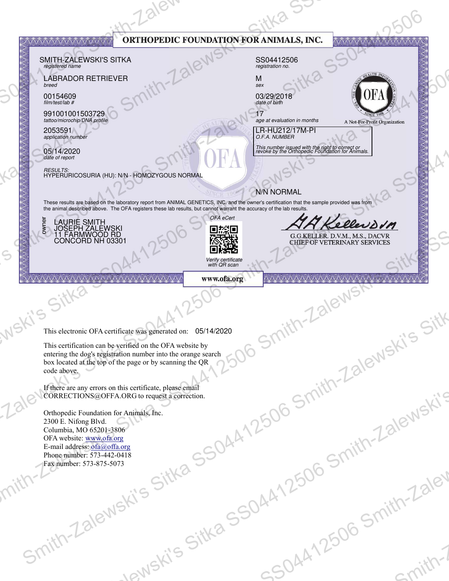| $\mathsf{S}% _{M_{1},M_{2}}^{\alpha,\beta}(\mathbb{R}^{N})$ | AVAVAVAVAVAVAV V V V VAVAV<br>SMITH-ZALEWSKI'S SITKA<br>registered name<br><b>LABRADOR RETRIEVER</b><br>breed<br>00154609<br>film/test/lab #<br>991001001503729<br>tattoo/microchip/DNA profile<br>2053591<br>application number<br>05/14/2020<br>date of report<br>RESULTS:<br>HYPERURICOSURIA (HU): N/N - HOMOZYGOUS NORMAL<br>These results are based on the laboratory report from ANIMAL GENETICS, INC. and the owner's certification that the sample provided was from<br>the animal described above. The OFA registers these lab results, but cannot warrant the accuracy of the lab results.<br>LAURIE SMITH<br>JOSEPH ZALEWSKI<br>11 FARMWOOD RD<br>CONCORD NH 03301<br>š |                          | OFA eCert<br>D談画<br>磁磁<br>Verify certificate<br>with QR scan | ORTHOPEDIC FOUNDATION FOR ANIMALS, INC.<br>SS04412506<br>registration no.<br>M<br>sex<br>03/29/2018<br>date of birth<br>age at evaluation in months<br>LR-HU212/17M-PI<br>O.F.A. NUMBER<br>This number issued with the right to correct or<br>revoke by the Orthopedic Foundation for Animals.<br>N/N NORMAL | <b>ATA ATA ATA ATA ATA</b><br>A Not-For-Profit Organization<br>AA Kellevorn<br>G.G.KELLER. D.V.M., M.S., DACVR<br>CHIEF OF VETERINARY SERVICES |                        |
|-------------------------------------------------------------|------------------------------------------------------------------------------------------------------------------------------------------------------------------------------------------------------------------------------------------------------------------------------------------------------------------------------------------------------------------------------------------------------------------------------------------------------------------------------------------------------------------------------------------------------------------------------------------------------------------------------------------------------------------------------------|--------------------------|--------------------------------------------------------------|--------------------------------------------------------------------------------------------------------------------------------------------------------------------------------------------------------------------------------------------------------------------------------------------------------------|------------------------------------------------------------------------------------------------------------------------------------------------|------------------------|
| vi'S                                                        | <b>AAAAAAAAAA</b><br>$C$ i"<br>This electronic OFA certificate was generated on: 05/14/2020<br>This certification can be verified on the OFA website by<br>entering the dog's registration number into the orange search<br>box located at the top of the page or by scanning the QR<br>code above.                                                                                                                                                                                                                                                                                                                                                                                | AA A A A A A A A A A A A | www.ofa.org                                                  | VAAAAAA                                                                                                                                                                                                                                                                                                      | Smith-Zalewski's Sitk                                                                                                                          |                        |
|                                                             | If there are any errors on this certificate, please email<br>CORRECTIONS@OFFA.ORG to request a correction.<br>Orthopedic Foundation for Animals, Inc.<br>2300 E. Nifong Blvd.<br>Columbia, MO 65201-3806<br>OFA website: www.ofa.org<br>E-mail address: ofa@offa.org<br>Phone number: 573-442-0418<br>Fax number: 573-875-5073                                                                                                                                                                                                                                                                                                                                                     |                          |                                                              | .7506:                                                                                                                                                                                                                                                                                                       | < 06 Smith-Zalewski's                                                                                                                          |                        |
|                                                             | $S_{U}$                                                                                                                                                                                                                                                                                                                                                                                                                                                                                                                                                                                                                                                                            | Jewski's                 | - alewski's Sitka SSOAn<br>Wa SSO4-                          | SOAATL                                                                                                                                                                                                                                                                                                       | - Smith-'                                                                                                                                      | <b>13lev</b><br>spitt? |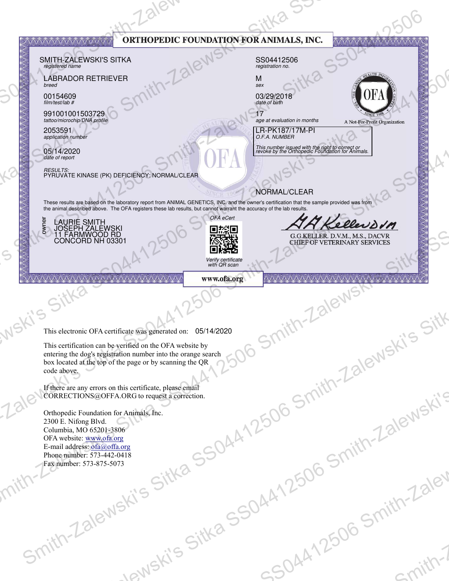|                                                             | AVAVAVAVAVAVAV V V V VAVAV<br>SMITH-ZALEWSKI'S SITKA<br>registered name<br><b>LABRADOR RETRIEVER</b><br>breed<br>00154609<br>film/test/lab #<br>991001001503729<br>tattoo/microchip/DNA profile<br>2053591<br>application number<br>05/14/2020<br>date of report<br><i>RESULTS:</i><br>PYRUVATE KINASE (PK) DEFICIENCY: NORMAL/CLEAR<br>These results are based on the laboratory report from ANIMAL GENETICS, INC. and the owner's certification that the sample provided was from<br>the animal described above. The OFA registers these lab results, but cannot warrant the accuracy of the lab results.<br>LAURIE SMITH<br>JOSEPH ZALEWSKI<br>11 FARMWOOD RD<br>CONCORD NH 03301<br>š |                          | OFA eCert                                                      | ORTHOPEDIC FOUNDATION FOR ANIMALS, INC.<br>SS04412506<br>registration no.<br>M<br>sex<br>03/29/2018<br>date of birth<br>age at evaluation in months<br>LR-PK187/17M-PI<br>O.F.A. NUMBER<br>This number issued with the right to correct or<br>revoke by the Orthopedic Foundation for Animals.<br>NORMAL/CLEAR | <b>ATA ATA ATA ATA ATA</b><br>A Not-For-Profit Organization<br>AA Kellevorn<br>G.G.KELLER. D.V.M., M.S., DACVR<br>CHIEF OF VETERINARY SERVICES |                        |
|-------------------------------------------------------------|-------------------------------------------------------------------------------------------------------------------------------------------------------------------------------------------------------------------------------------------------------------------------------------------------------------------------------------------------------------------------------------------------------------------------------------------------------------------------------------------------------------------------------------------------------------------------------------------------------------------------------------------------------------------------------------------|--------------------------|----------------------------------------------------------------|----------------------------------------------------------------------------------------------------------------------------------------------------------------------------------------------------------------------------------------------------------------------------------------------------------------|------------------------------------------------------------------------------------------------------------------------------------------------|------------------------|
| $\mathsf{S}% _{M_{1},M_{2}}^{\alpha,\beta}(\mathbb{R}^{N})$ | <b>AAAAAAAAAA</b><br>$C$ i"                                                                                                                                                                                                                                                                                                                                                                                                                                                                                                                                                                                                                                                               | AA A A A A A A A A A A A | D総局<br>磁磁<br>Verify certificate<br>with QR scan<br>www.ofa.org | VAAAAAA                                                                                                                                                                                                                                                                                                        |                                                                                                                                                |                        |
| vi'S                                                        | This electronic OFA certificate was generated on: 05/14/2020<br>This certification can be verified on the OFA website by<br>entering the dog's registration number into the orange search<br>box located at the top of the page or by scanning the QR<br>code above.<br>If there are any errors on this certificate, please email                                                                                                                                                                                                                                                                                                                                                         |                          |                                                                |                                                                                                                                                                                                                                                                                                                | Smith-Zalewski's Sitk                                                                                                                          |                        |
|                                                             | CORRECTIONS@OFFA.ORG to request a correction.<br>Orthopedic Foundation for Animals, Inc.<br>2300 E. Nifong Blvd.<br>Columbia, MO 65201-3806<br>OFA website: www.ofa.org<br>E-mail address: ofa@offa.org<br>Phone number: 573-442-0418<br>Fax number: 573-875-5073                                                                                                                                                                                                                                                                                                                                                                                                                         |                          |                                                                | .7506:                                                                                                                                                                                                                                                                                                         | < 06 Smith-Zalewski's                                                                                                                          |                        |
|                                                             | $S_{U}$                                                                                                                                                                                                                                                                                                                                                                                                                                                                                                                                                                                                                                                                                   | Jewski's                 | - alewski's Sitka SSOAn<br>Wa SSO4-                            | SOAATL                                                                                                                                                                                                                                                                                                         | - Smith-'                                                                                                                                      | <b>13lev</b><br>spitt? |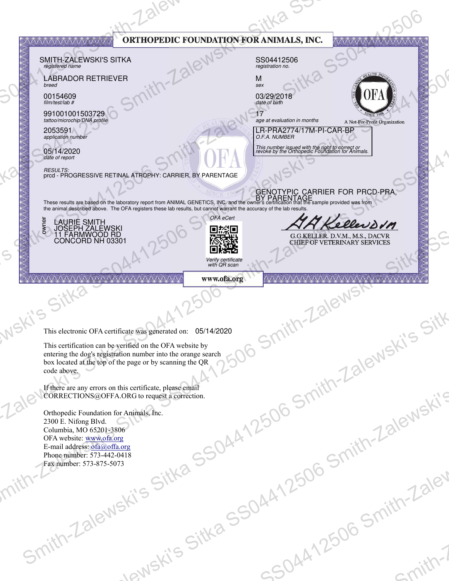|                                                             | <b>YAYAYAYAYAYAYAYAYAYAYA</b><br>SMITH-ZALEWSKI'S SITKA<br>registered name<br><b>LABRADOR RETRIEVER</b><br>breed<br>00154609<br>film/test/lab #<br>991001001503729<br>tattoo/microchip/DNA profile<br>2053591<br>application number<br>05/14/2020<br>date of report<br><b>RESULTS:</b><br>prcd - PROGRESSIVE RETINAL ATROPHY: CARRIER, BY PARENTAGE<br>GENOTYPIC CARRIER FOR PRCD-PRA.<br>These results are based on the laboratory report from ANIMAL GENETICS, INC. and the owner's certification that the sample provided was from<br>the animal described above. The OFA registers these lab results, but cannot warrant the accuracy of the lab results. |                                     | OFA eCert                                                      | ORTHOPEDIC FOUNDATION FOR ANIMALS, INC.<br>SS04412506<br>registration no.<br>M<br>sex<br>03/29/2018<br>date of birth<br>age at evaluation in months<br>LR-PRA2774/17M-PI-CAR-BP<br>O.F.A. NUMBER<br>This number issued with the right to correct or<br>revoke by the Orthopedic Foundation for Animals. | <b>AVAVAVAVAVAVAVAVAVAVA</b><br>A Not-For-Profit Organization<br>AA Kellenson |                        |
|-------------------------------------------------------------|---------------------------------------------------------------------------------------------------------------------------------------------------------------------------------------------------------------------------------------------------------------------------------------------------------------------------------------------------------------------------------------------------------------------------------------------------------------------------------------------------------------------------------------------------------------------------------------------------------------------------------------------------------------|-------------------------------------|----------------------------------------------------------------|---------------------------------------------------------------------------------------------------------------------------------------------------------------------------------------------------------------------------------------------------------------------------------------------------------|-------------------------------------------------------------------------------|------------------------|
| $\mathsf{S}% _{M_{1},M_{2}}^{\alpha,\beta}(\mathbb{R}^{N})$ | LAURIE SMITH<br>JOSEPH ZALEWSKI<br>11 FARMWOOD RD<br>CONCORD NH 03301<br>š<br><b>AAAAAAAAA</b>                                                                                                                                                                                                                                                                                                                                                                                                                                                                                                                                                                | AA A A A A A A A A A A A            | D総局<br>磁磁<br>Verify certificate<br>with QR scan<br>www.ofa.org | VAAAAAA                                                                                                                                                                                                                                                                                                 | G.G.KELLER. D.V.M., M.S., DACVR<br>CHIEF OF VETERINARY SERVICES               |                        |
| vi'S                                                        | C<br>This electronic OFA certificate was generated on: 05/14/2020<br>This certification can be verified on the OFA website by<br>entering the dog's registration number into the orange search<br>box located at the top of the page or by scanning the QR<br>code above.                                                                                                                                                                                                                                                                                                                                                                                     |                                     |                                                                |                                                                                                                                                                                                                                                                                                         | Smith-Zalewski's Sitk                                                         |                        |
|                                                             | If there are any errors on this certificate, please email<br>CORRECTIONS@OFFA.ORG to request a correction.<br>Orthopedic Foundation for Animals, Inc.<br>2300 E. Nifong Blvd.<br>Columbia, MO 65201-3806<br>OFA website: www.ofa.org<br>E-mail address: ofa@offa.org<br>Phone number: 573-442-0418<br>Fax number: 573-875-5073                                                                                                                                                                                                                                                                                                                                |                                     |                                                                | .7506:                                                                                                                                                                                                                                                                                                  | < 06 Smith-Zalewski's                                                         |                        |
| $S_{U}$                                                     |                                                                                                                                                                                                                                                                                                                                                                                                                                                                                                                                                                                                                                                               | - alewski's Sitka SSOAn<br>Jewski's | Wa SSOA.                                                       | SOAATL                                                                                                                                                                                                                                                                                                  | - Smith-'                                                                     | <b>13lev</b><br>spitt? |